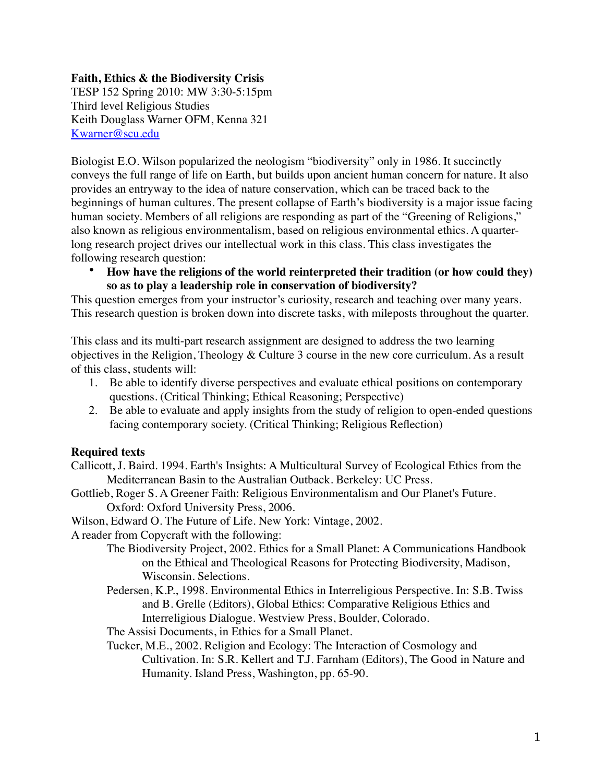## **Faith, Ethics & the Biodiversity Crisis**

TESP 152 Spring 2010: MW 3:30-5:15pm Third level Religious Studies Keith Douglass Warner OFM, Kenna 321 [Kwarner@scu.edu](mailto:Kwarner@scu.edu)

Biologist E.O. Wilson popularized the neologism "biodiversity" only in 1986. It succinctly conveys the full range of life on Earth, but builds upon ancient human concern for nature. It also provides an entryway to the idea of nature conservation, which can be traced back to the beginnings of human cultures. The present collapse of Earth's biodiversity is a major issue facing human society. Members of all religions are responding as part of the "Greening of Religions," also known as religious environmentalism, based on religious environmental ethics. A quarterlong research project drives our intellectual work in this class. This class investigates the following research question:

• **How have the religions of the world reinterpreted their tradition (or how could they) so as to play a leadership role in conservation of biodiversity?**

This question emerges from your instructor's curiosity, research and teaching over many years. This research question is broken down into discrete tasks, with mileposts throughout the quarter.

This class and its multi-part research assignment are designed to address the two learning objectives in the Religion, Theology & Culture 3 course in the new core curriculum. As a result of this class, students will:

- 1. Be able to identify diverse perspectives and evaluate ethical positions on contemporary questions. (Critical Thinking; Ethical Reasoning; Perspective)
- 2. Be able to evaluate and apply insights from the study of religion to open-ended questions facing contemporary society. (Critical Thinking; Religious Reflection)

## **Required texts**

- Callicott, J. Baird. 1994. Earth's Insights: A Multicultural Survey of Ecological Ethics from the Mediterranean Basin to the Australian Outback. Berkeley: UC Press.
- Gottlieb, Roger S. A Greener Faith: Religious Environmentalism and Our Planet's Future. Oxford: Oxford University Press, 2006.

Wilson, Edward O. The Future of Life. New York: Vintage, 2002.

A reader from Copycraft with the following:

- The Biodiversity Project, 2002. Ethics for a Small Planet: A Communications Handbook on the Ethical and Theological Reasons for Protecting Biodiversity, Madison, Wisconsin. Selections.
- Pedersen, K.P., 1998. Environmental Ethics in Interreligious Perspective. In: S.B. Twiss and B. Grelle (Editors), Global Ethics: Comparative Religious Ethics and Interreligious Dialogue. Westview Press, Boulder, Colorado.
- The Assisi Documents, in Ethics for a Small Planet.
- Tucker, M.E., 2002. Religion and Ecology: The Interaction of Cosmology and Cultivation. In: S.R. Kellert and T.J. Farnham (Editors), The Good in Nature and Humanity. Island Press, Washington, pp. 65-90.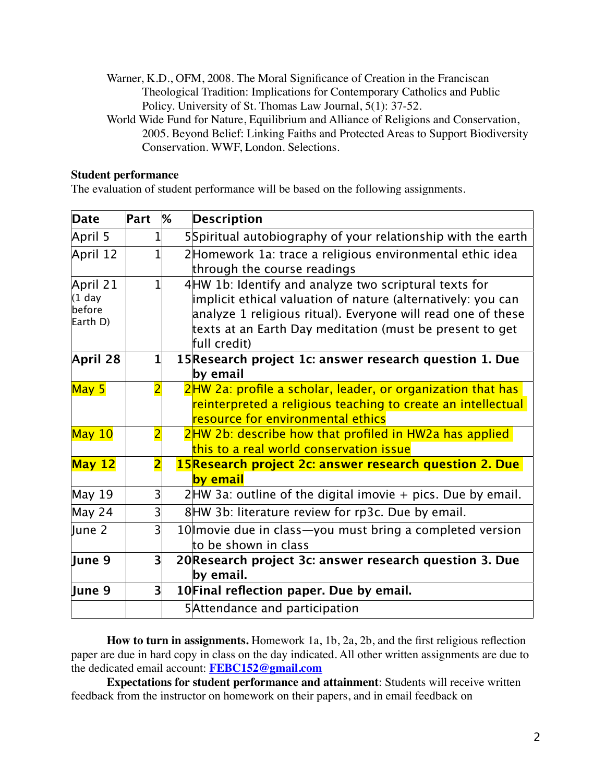- Warner, K.D., OFM, 2008. The Moral Significance of Creation in the Franciscan Theological Tradition: Implications for Contemporary Catholics and Public Policy. University of St. Thomas Law Journal, 5(1): 37-52.
- World Wide Fund for Nature, Equilibrium and Alliance of Religions and Conservation, 2005. Beyond Belief: Linking Faiths and Protected Areas to Support Biodiversity Conservation. WWF, London. Selections.

#### **Student performance**

The evaluation of student performance will be based on the following assignments.

| Date                                       | Part           | % | <b>Description</b>                                                                                                                                                                                                                                                 |
|--------------------------------------------|----------------|---|--------------------------------------------------------------------------------------------------------------------------------------------------------------------------------------------------------------------------------------------------------------------|
| April 5                                    |                |   | 5Spiritual autobiography of your relationship with the earth                                                                                                                                                                                                       |
| April 12                                   |                |   | 2Homework 1a: trace a religious environmental ethic idea<br>through the course readings                                                                                                                                                                            |
| April 21<br>$(1$ day<br>before<br>Earth D) |                |   | 4 HW 1b: Identify and analyze two scriptural texts for<br>implicit ethical valuation of nature (alternatively: you can<br>analyze 1 religious ritual). Everyone will read one of these<br>texts at an Earth Day meditation (must be present to get<br>full credit) |
| April 28                                   | $\mathbf{1}$   |   | 15 Research project 1c: answer research question 1. Due<br>by email                                                                                                                                                                                                |
| May 5                                      | $\overline{2}$ |   | 2HW 2a: profile a scholar, leader, or organization that has<br>reinterpreted a religious teaching to create an intellectual<br>resource for environmental ethics                                                                                                   |
| $M$ ay 10                                  | $\overline{2}$ |   | 2HW 2b: describe how that profiled in HW2a has applied<br>this to a real world conservation issue                                                                                                                                                                  |
| May <sub>12</sub>                          | $\overline{2}$ |   | 15 Research project 2c: answer research question 2. Due<br>by email                                                                                                                                                                                                |
| <b>May 19</b>                              | 3              |   | $2$ HW 3a: outline of the digital imovie + pics. Due by email.                                                                                                                                                                                                     |
| May 24                                     | $\overline{3}$ |   | 8HW 3b: literature review for rp3c. Due by email.                                                                                                                                                                                                                  |
| June 2                                     | $\mathsf{B}$   |   | 10 Imovie due in class—you must bring a completed version<br>to be shown in class                                                                                                                                                                                  |
| June 9                                     | 3 <sup>1</sup> |   | 20 Research project 3c: answer research question 3. Due<br>by email.                                                                                                                                                                                               |
| June 9                                     | 3 <sup>1</sup> |   | 10 Final reflection paper. Due by email.                                                                                                                                                                                                                           |
|                                            |                |   | 5 Attendance and participation                                                                                                                                                                                                                                     |

**How to turn in assignments.** Homework 1a, 1b, 2a, 2b, and the first religious reflection paper are due in hard copy in class on the day indicated. All other written assignments are due to the dedicated email account: **[FEBC152@gmail.com](mailto:FEBC152@gmail.com)**

**Expectations for student performance and attainment**: Students will receive written feedback from the instructor on homework on their papers, and in email feedback on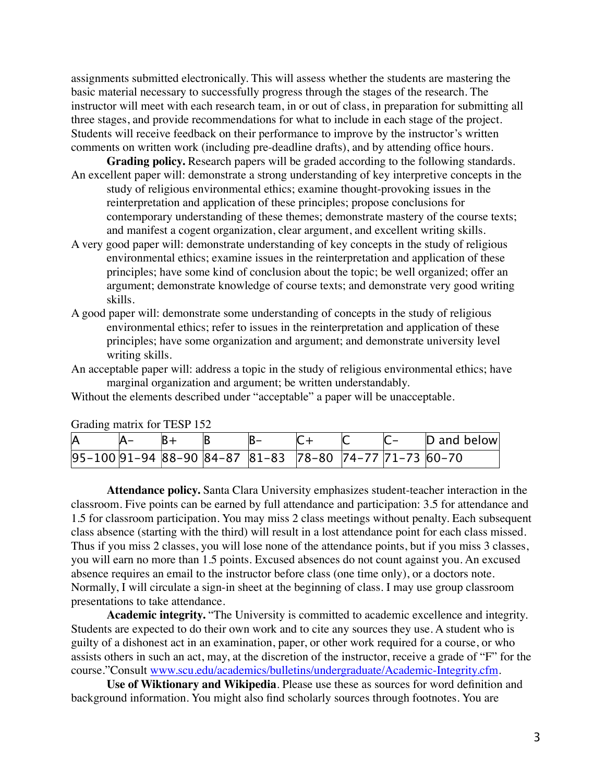assignments submitted electronically. This will assess whether the students are mastering the basic material necessary to successfully progress through the stages of the research. The instructor will meet with each research team, in or out of class, in preparation for submitting all three stages, and provide recommendations for what to include in each stage of the project. Students will receive feedback on their performance to improve by the instructor's written comments on written work (including pre-deadline drafts), and by attending office hours.

**Grading policy.** Research papers will be graded according to the following standards.

- An excellent paper will: demonstrate a strong understanding of key interpretive concepts in the study of religious environmental ethics; examine thought-provoking issues in the reinterpretation and application of these principles; propose conclusions for contemporary understanding of these themes; demonstrate mastery of the course texts; and manifest a cogent organization, clear argument, and excellent writing skills.
- A very good paper will: demonstrate understanding of key concepts in the study of religious environmental ethics; examine issues in the reinterpretation and application of these principles; have some kind of conclusion about the topic; be well organized; offer an argument; demonstrate knowledge of course texts; and demonstrate very good writing skills.
- A good paper will: demonstrate some understanding of concepts in the study of religious environmental ethics; refer to issues in the reinterpretation and application of these principles; have some organization and argument; and demonstrate university level writing skills.
- An acceptable paper will: address a topic in the study of religious environmental ethics; have marginal organization and argument; be written understandably.

Without the elements described under "acceptable" a paper will be unacceptable.

| ۱A |  |  |  |                                                           |  |  |  | D and below |
|----|--|--|--|-----------------------------------------------------------|--|--|--|-------------|
|    |  |  |  | $ 95-100 91-94 88-90 84-87 81-83 78-80 74-77 71-73 60-70$ |  |  |  |             |

Grading matrix for TESP 152

**Attendance policy.** Santa Clara University emphasizes student-teacher interaction in the classroom. Five points can be earned by full attendance and participation: 3.5 for attendance and 1.5 for classroom participation. You may miss 2 class meetings without penalty. Each subsequent class absence (starting with the third) will result in a lost attendance point for each class missed. Thus if you miss 2 classes, you will lose none of the attendance points, but if you miss 3 classes, you will earn no more than 1.5 points. Excused absences do not count against you. An excused absence requires an email to the instructor before class (one time only), or a doctors note. Normally, I will circulate a sign-in sheet at the beginning of class. I may use group classroom presentations to take attendance.

**Academic integrity.** "The University is committed to academic excellence and integrity. Students are expected to do their own work and to cite any sources they use. A student who is guilty of a dishonest act in an examination, paper, or other work required for a course, or who assists others in such an act, may, at the discretion of the instructor, receive a grade of "F" for the course."Consult [www.scu.edu/academics/bulletins/undergraduate/Academic-Integrity.cfm](http://www.scu.edu/academics/bulletins/undergraduate/Academic-Integrity.cfm).

**Use of Wiktionary and Wikipedia**. Please use these as sources for word definition and background information. You might also find scholarly sources through footnotes. You are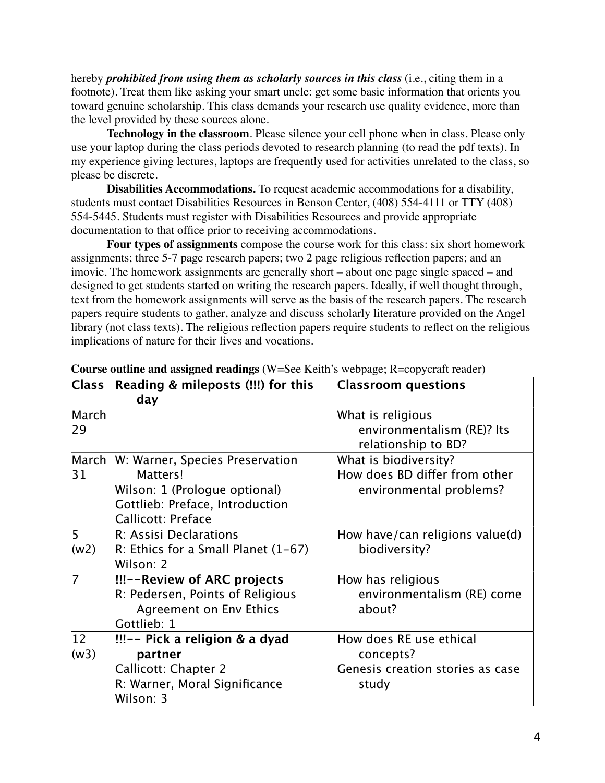hereby *prohibited from using them as scholarly sources in this class* (i.e., citing them in a footnote). Treat them like asking your smart uncle: get some basic information that orients you toward genuine scholarship. This class demands your research use quality evidence, more than the level provided by these sources alone.

**Technology in the classroom**. Please silence your cell phone when in class. Please only use your laptop during the class periods devoted to research planning (to read the pdf texts). In my experience giving lectures, laptops are frequently used for activities unrelated to the class, so please be discrete.

**Disabilities Accommodations.** To request academic accommodations for a disability, students must contact Disabilities Resources in Benson Center, (408) 554-4111 or TTY (408) 554-5445. Students must register with Disabilities Resources and provide appropriate documentation to that office prior to receiving accommodations.

**Four types of assignments** compose the course work for this class: six short homework assignments; three 5-7 page research papers; two 2 page religious reflection papers; and an imovie. The homework assignments are generally short – about one page single spaced – and designed to get students started on writing the research papers. Ideally, if well thought through, text from the homework assignments will serve as the basis of the research papers. The research papers require students to gather, analyze and discuss scholarly literature provided on the Angel library (not class texts). The religious reflection papers require students to reflect on the religious implications of nature for their lives and vocations.

| <b>Class</b> | Reading & mileposts (!!!) for this<br>day                                                                                             | <b>Classroom</b> questions                                                        |
|--------------|---------------------------------------------------------------------------------------------------------------------------------------|-----------------------------------------------------------------------------------|
| March<br>29  |                                                                                                                                       | What is religious<br>environmentalism (RE)? Its<br>relationship to BD?            |
| March<br>31  | W: Warner, Species Preservation<br>Matters!<br>Wilson: 1 (Prologue optional)<br>Gottlieb: Preface, Introduction<br>Callicott: Preface | What is biodiversity?<br>How does BD differ from other<br>environmental problems? |
| 5<br>(w2)    | R: Assisi Declarations<br>$\mathbb{R}$ : Ethics for a Small Planet (1-67)<br>Wilson: 2                                                | How have/can religions value(d)<br>biodiversity?                                  |
| 7            | !!!--Review of ARC projects<br>R: Pedersen, Points of Religious<br><b>Agreement on Env Ethics</b><br>Gottlieb: 1                      | How has religious<br>environmentalism (RE) come<br>about?                         |
| 12<br>(w3)   | !!!-- Pick a religion & a dyad<br>partner<br>Callicott: Chapter 2<br>R: Warner, Moral Significance<br>Wilson: 3                       | How does RE use ethical<br>concepts?<br>Genesis creation stories as case<br>study |

#### **Course outline and assigned readings** (W=See Keith's webpage; R=copycraft reader)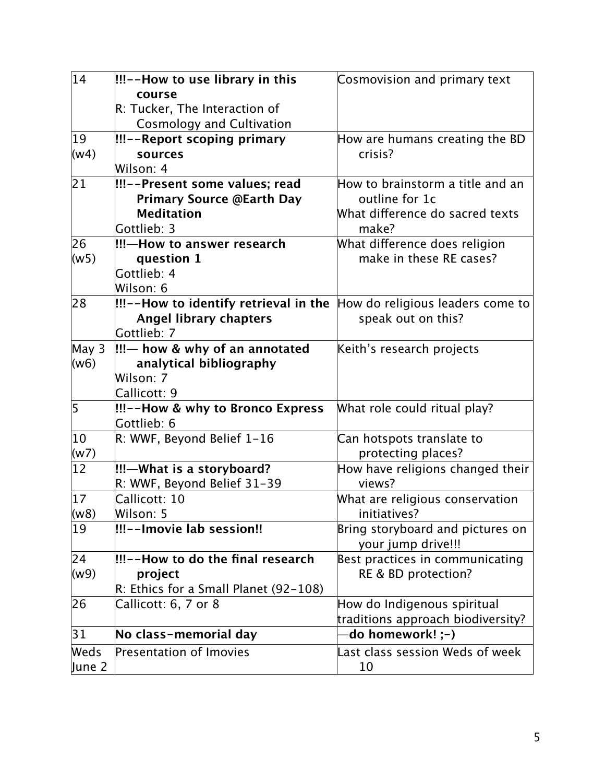| 14           | !!!--How to use library in this                 | Cosmovision and primary text                           |
|--------------|-------------------------------------------------|--------------------------------------------------------|
|              | course                                          |                                                        |
|              | R: Tucker, The Interaction of                   |                                                        |
|              | <b>Cosmology and Cultivation</b>                |                                                        |
| $ 19\rangle$ | !!!--Report scoping primary                     | How are humans creating the BD                         |
| (w4)         | sources                                         | crisis?                                                |
|              | Wilson: 4                                       |                                                        |
| 21           | !!!--Present some values; read                  | How to brainstorm a title and an                       |
|              | <b>Primary Source @Earth Day</b>                | outline for 1c                                         |
|              | <b>Meditation</b>                               | What difference do sacred texts                        |
|              | Gottlieb: 3                                     | make?                                                  |
| 26           | !!!—How to answer research                      | What difference does religion                          |
| (w5)         | question 1                                      | make in these RE cases?                                |
|              | Gottlieb: 4                                     |                                                        |
|              | Wilson: 6                                       |                                                        |
| 28           | !!!--How to identify retrieval in the           | How do religious leaders come to                       |
|              | <b>Angel library chapters</b>                   | speak out on this?                                     |
|              | Gottlieb: 7                                     |                                                        |
| May 3        | $\left  \right $ !!!— how & why of an annotated | Keith's research projects                              |
| (0.6)        | analytical bibliography                         |                                                        |
|              | Wilson: 7                                       |                                                        |
|              | Callicott: 9                                    |                                                        |
| 5            | !!!--How & why to Bronco Express                | What role could ritual play?                           |
|              | Gottlieb: 6                                     |                                                        |
| 10           | R: WWF, Beyond Belief 1-16                      | Can hotspots translate to                              |
| (w7)         |                                                 | protecting places?                                     |
| $ 12\rangle$ | !!!—What is a storyboard?                       | How have religions changed their                       |
|              | R: WWF, Beyond Belief 31-39                     | views?                                                 |
| 17           | Callicott: 10                                   | What are religious conservation                        |
| (w8)         | Wilson: 5                                       | initiatives?                                           |
| 19           | !!!--Imovie lab session!!                       | Bring storyboard and pictures on<br>your jump drive!!! |
| 24           | !!!--How to do the final research               | Best practices in communicating                        |
| (w9)         | project                                         | RE & BD protection?                                    |
|              | R: Ethics for a Small Planet (92-108)           |                                                        |
| 26           | Callicott: 6, 7 or 8                            | How do Indigenous spiritual                            |
|              |                                                 | traditions approach biodiversity?                      |
| 31           | No class-memorial day                           | do homework! ;-)                                       |
| Weds         | <b>Presentation of Imovies</b>                  | Last class session Weds of week                        |
| June 2       |                                                 | 10                                                     |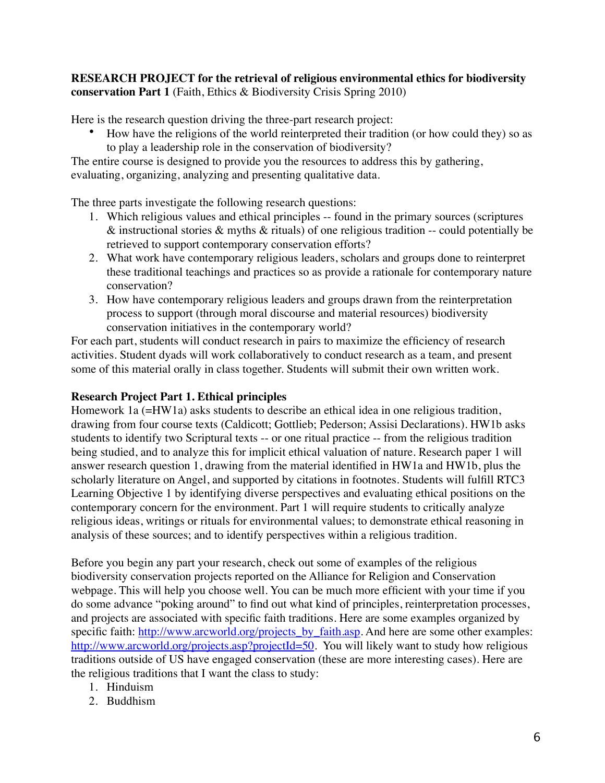## **RESEARCH PROJECT for the retrieval of religious environmental ethics for biodiversity conservation Part 1** (Faith, Ethics & Biodiversity Crisis Spring 2010)

Here is the research question driving the three-part research project:

• How have the religions of the world reinterpreted their tradition (or how could they) so as to play a leadership role in the conservation of biodiversity?

The entire course is designed to provide you the resources to address this by gathering, evaluating, organizing, analyzing and presenting qualitative data.

The three parts investigate the following research questions:

- 1. Which religious values and ethical principles -- found in the primary sources (scriptures  $\&$  instructional stories  $\&$  myths  $\&$  rituals) of one religious tradition -- could potentially be retrieved to support contemporary conservation efforts?
- 2. What work have contemporary religious leaders, scholars and groups done to reinterpret these traditional teachings and practices so as provide a rationale for contemporary nature conservation?
- 3. How have contemporary religious leaders and groups drawn from the reinterpretation process to support (through moral discourse and material resources) biodiversity conservation initiatives in the contemporary world?

For each part, students will conduct research in pairs to maximize the efficiency of research activities. Student dyads will work collaboratively to conduct research as a team, and present some of this material orally in class together. Students will submit their own written work.

## **Research Project Part 1. Ethical principles**

Homework 1a (=HW1a) asks students to describe an ethical idea in one religious tradition, drawing from four course texts (Caldicott; Gottlieb; Pederson; Assisi Declarations). HW1b asks students to identify two Scriptural texts -- or one ritual practice -- from the religious tradition being studied, and to analyze this for implicit ethical valuation of nature. Research paper 1 will answer research question 1, drawing from the material identified in HW1a and HW1b, plus the scholarly literature on Angel, and supported by citations in footnotes. Students will fulfill RTC3 Learning Objective 1 by identifying diverse perspectives and evaluating ethical positions on the contemporary concern for the environment. Part 1 will require students to critically analyze religious ideas, writings or rituals for environmental values; to demonstrate ethical reasoning in analysis of these sources; and to identify perspectives within a religious tradition.

Before you begin any part your research, check out some of examples of the religious biodiversity conservation projects reported on the Alliance for Religion and Conservation webpage. This will help you choose well. You can be much more efficient with your time if you do some advance "poking around" to find out what kind of principles, reinterpretation processes, and projects are associated with specific faith traditions. Here are some examples organized by specific faith: [http://www.arcworld.org/projects\\_by\\_faith.asp.](http://www.arcworld.org/projects_by_faith.asp) And here are some other examples: <http://www.arcworld.org/projects.asp?projectId=50>. You will likely want to study how religious traditions outside of US have engaged conservation (these are more interesting cases). Here are the religious traditions that I want the class to study:

- 1. Hinduism
- 2. Buddhism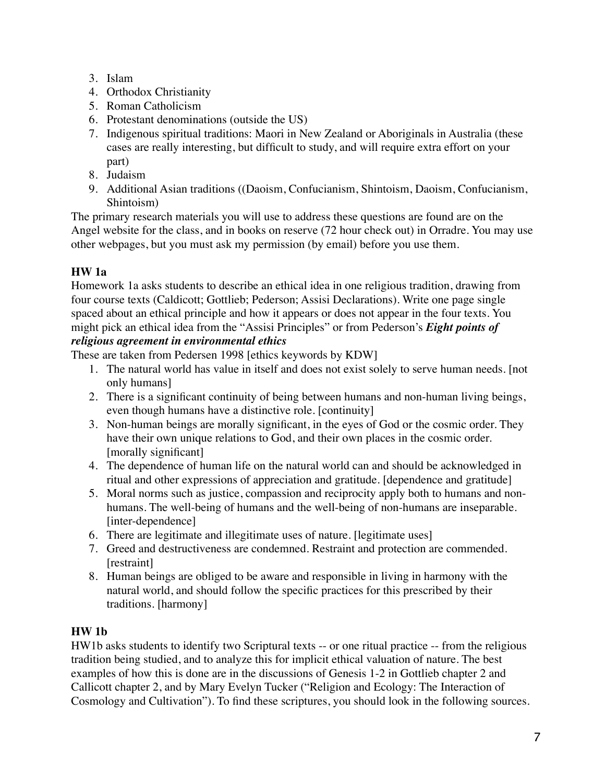- 3. Islam
- 4. Orthodox Christianity
- 5. Roman Catholicism
- 6. Protestant denominations (outside the US)
- 7. Indigenous spiritual traditions: Maori in New Zealand or Aboriginals in Australia (these cases are really interesting, but difficult to study, and will require extra effort on your part)
- 8. Judaism
- 9. Additional Asian traditions ((Daoism, Confucianism, Shintoism, Daoism, Confucianism, Shintoism)

The primary research materials you will use to address these questions are found are on the Angel website for the class, and in books on reserve (72 hour check out) in Orradre. You may use other webpages, but you must ask my permission (by email) before you use them.

## **HW 1a**

Homework 1a asks students to describe an ethical idea in one religious tradition, drawing from four course texts (Caldicott; Gottlieb; Pederson; Assisi Declarations). Write one page single spaced about an ethical principle and how it appears or does not appear in the four texts. You might pick an ethical idea from the "Assisi Principles" or from Pederson's *Eight points of religious agreement in environmental ethics*

These are taken from Pedersen 1998 [ethics keywords by KDW]

- 1. The natural world has value in itself and does not exist solely to serve human needs. [not only humans]
- 2. There is a significant continuity of being between humans and non-human living beings, even though humans have a distinctive role. [continuity]
- 3. Non-human beings are morally significant, in the eyes of God or the cosmic order. They have their own unique relations to God, and their own places in the cosmic order. [morally significant]
- 4. The dependence of human life on the natural world can and should be acknowledged in ritual and other expressions of appreciation and gratitude. [dependence and gratitude]
- 5. Moral norms such as justice, compassion and reciprocity apply both to humans and nonhumans. The well-being of humans and the well-being of non-humans are inseparable. [inter-dependence]
- 6. There are legitimate and illegitimate uses of nature. [legitimate uses]
- 7. Greed and destructiveness are condemned. Restraint and protection are commended. [restraint]
- 8. Human beings are obliged to be aware and responsible in living in harmony with the natural world, and should follow the specific practices for this prescribed by their traditions. [harmony]

## **HW 1b**

HW1b asks students to identify two Scriptural texts -- or one ritual practice -- from the religious tradition being studied, and to analyze this for implicit ethical valuation of nature. The best examples of how this is done are in the discussions of Genesis 1-2 in Gottlieb chapter 2 and Callicott chapter 2, and by Mary Evelyn Tucker ("Religion and Ecology: The Interaction of Cosmology and Cultivation"). To find these scriptures, you should look in the following sources.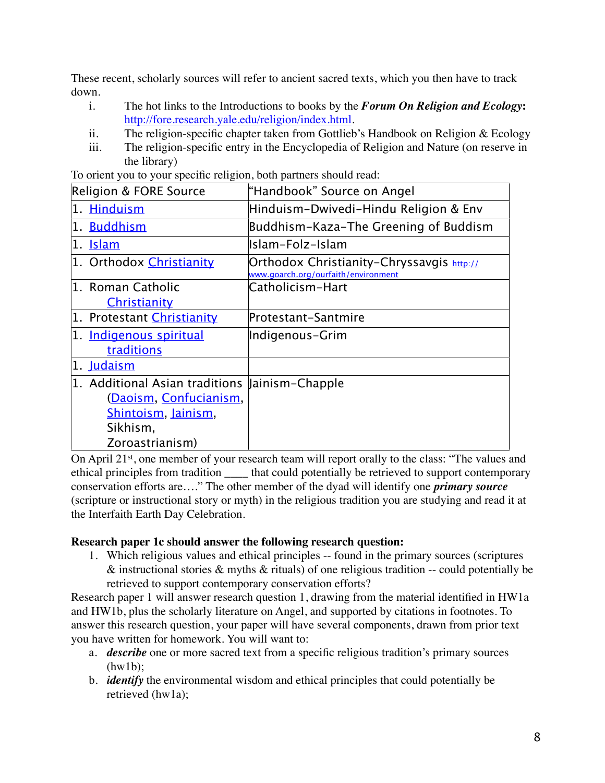These recent, scholarly sources will refer to ancient sacred texts, which you then have to track down.

- i. The hot links to the Introductions to books by the *Forum On Religion and Ecology***:**  [http://fore.research.yale.edu/religion/index.html.](http://fore.research.yale.edu/religion/index.html)
- ii. The religion-specific chapter taken from Gottlieb's Handbook on Religion & Ecology
- iii. The religion-specific entry in the Encyclopedia of Religion and Nature (on reserve in the library)

| Religion & FORE Source                         | "Handbook" Source on Angel                                                         |
|------------------------------------------------|------------------------------------------------------------------------------------|
| 1. Hinduism                                    | Hinduism-Dwivedi-Hindu Religion & Env                                              |
| 1. Buddhism                                    | Buddhism-Kaza-The Greening of Buddism                                              |
| 1. <u>Islam</u>                                | Islam-Folz-Islam                                                                   |
| 1. Orthodox Christianity                       | Orthodox Christianity-Chryssavgis $http:II$<br>www.goarch.org/ourfaith/environment |
| 1. Roman Catholic<br>Christianity              | Catholicism-Hart                                                                   |
| 1. Protestant Christianity                     | Protestant-Santmire                                                                |
| 1. Indigenous spiritual<br>traditions          | Indigenous-Grim                                                                    |
| 1. Judaism                                     |                                                                                    |
| 1. Additional Asian traditions Jainism-Chapple |                                                                                    |
| (Daoism, Confucianism,                         |                                                                                    |
| Shintoism, Jainism,                            |                                                                                    |
| Sikhism,                                       |                                                                                    |
| Zoroastrianism)                                |                                                                                    |

To orient you to your specific religion, both partners should read:

On April 21st, one member of your research team will report orally to the class: "The values and ethical principles from tradition \_\_\_\_ that could potentially be retrieved to support contemporary conservation efforts are…." The other member of the dyad will identify one *primary source* (scripture or instructional story or myth) in the religious tradition you are studying and read it at the Interfaith Earth Day Celebration.

## **Research paper 1c should answer the following research question:**

1. Which religious values and ethical principles -- found in the primary sources (scriptures  $\&$  instructional stories  $\&$  myths  $\&$  rituals) of one religious tradition -- could potentially be retrieved to support contemporary conservation efforts?

Research paper 1 will answer research question 1, drawing from the material identified in HW1a and HW1b, plus the scholarly literature on Angel, and supported by citations in footnotes. To answer this research question, your paper will have several components, drawn from prior text you have written for homework. You will want to:

- a. *describe* one or more sacred text from a specific religious tradition's primary sources  $(hw1b)$ :
- b. *identify* the environmental wisdom and ethical principles that could potentially be retrieved (hw1a);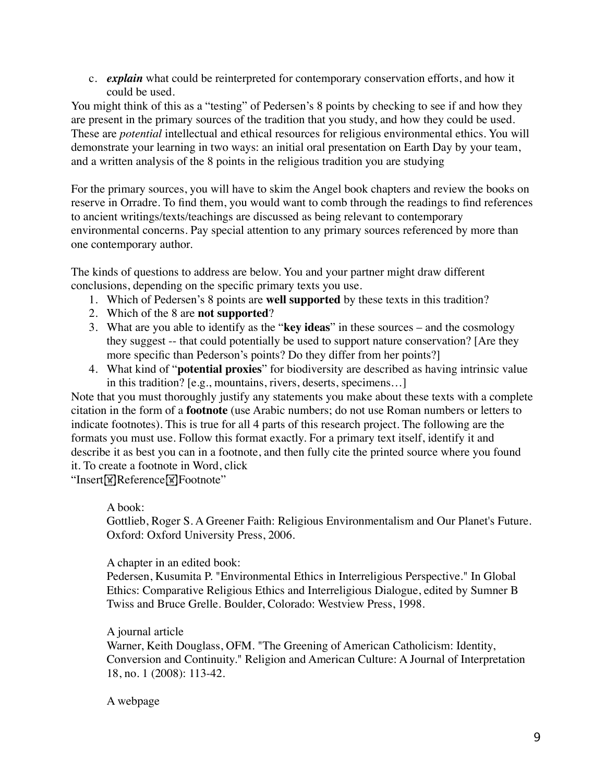c. *explain* what could be reinterpreted for contemporary conservation efforts, and how it could be used.

You might think of this as a "testing" of Pedersen's 8 points by checking to see if and how they are present in the primary sources of the tradition that you study, and how they could be used. These are *potential* intellectual and ethical resources for religious environmental ethics. You will demonstrate your learning in two ways: an initial oral presentation on Earth Day by your team, and a written analysis of the 8 points in the religious tradition you are studying

For the primary sources, you will have to skim the Angel book chapters and review the books on reserve in Orradre. To find them, you would want to comb through the readings to find references to ancient writings/texts/teachings are discussed as being relevant to contemporary environmental concerns. Pay special attention to any primary sources referenced by more than one contemporary author.

The kinds of questions to address are below. You and your partner might draw different conclusions, depending on the specific primary texts you use.

- 1. Which of Pedersen's 8 points are **well supported** by these texts in this tradition?
- 2. Which of the 8 are **not supported**?
- 3. What are you able to identify as the "**key ideas**" in these sources and the cosmology they suggest -- that could potentially be used to support nature conservation? [Are they more specific than Pederson's points? Do they differ from her points?]
- 4. What kind of "**potential proxies**" for biodiversity are described as having intrinsic value in this tradition? [e.g., mountains, rivers, deserts, specimens…]

Note that you must thoroughly justify any statements you make about these texts with a complete citation in the form of a **footnote** (use Arabic numbers; do not use Roman numbers or letters to indicate footnotes). This is true for all 4 parts of this research project. The following are the formats you must use. Follow this format exactly. For a primary text itself, identify it and describe it as best you can in a footnote, and then fully cite the printed source where you found it. To create a footnote in Word, click

"Insert<sup>W</sup>Reference<sup>W</sup>Footnote"

#### A book:

Gottlieb, Roger S. A Greener Faith: Religious Environmentalism and Our Planet's Future. Oxford: Oxford University Press, 2006.

A chapter in an edited book:

Pedersen, Kusumita P. "Environmental Ethics in Interreligious Perspective." In Global Ethics: Comparative Religious Ethics and Interreligious Dialogue, edited by Sumner B Twiss and Bruce Grelle. Boulder, Colorado: Westview Press, 1998.

#### A journal article

Warner, Keith Douglass, OFM. "The Greening of American Catholicism: Identity, Conversion and Continuity." Religion and American Culture: A Journal of Interpretation 18, no. 1 (2008): 113-42.

A webpage